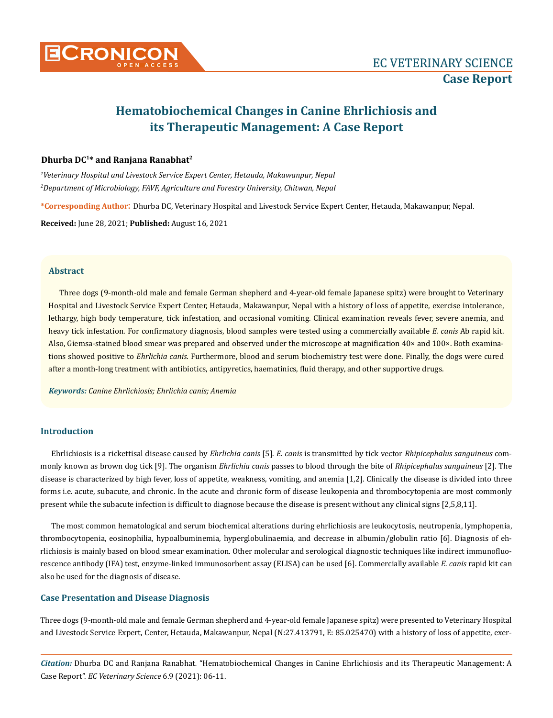

# **Hematobiochemical Changes in Canine Ehrlichiosis and its Therapeutic Management: A Case Report**

## **Dhurba DC1\* and Ranjana Ranabhat2**

*1 Veterinary Hospital and Livestock Service Expert Center, Hetauda, Makawanpur, Nepal 2 Department of Microbiology, FAVF, Agriculture and Forestry University, Chitwan, Nepal*

**\*Corresponding Author**: Dhurba DC, Veterinary Hospital and Livestock Service Expert Center, Hetauda, Makawanpur, Nepal.

**Received:** June 28, 2021; **Published:** August 16, 2021

#### **Abstract**

Three dogs (9-month-old male and female German shepherd and 4-year-old female Japanese spitz) were brought to Veterinary Hospital and Livestock Service Expert Center, Hetauda, Makawanpur, Nepal with a history of loss of appetite, exercise intolerance, lethargy, high body temperature, tick infestation, and occasional vomiting. Clinical examination reveals fever, severe anemia, and heavy tick infestation. For confirmatory diagnosis, blood samples were tested using a commercially available *E. canis* Ab rapid kit. Also, Giemsa-stained blood smear was prepared and observed under the microscope at magnification 40× and 100×. Both examinations showed positive to *Ehrlichia canis*. Furthermore, blood and serum biochemistry test were done. Finally, the dogs were cured after a month-long treatment with antibiotics, antipyretics, haematinics, fluid therapy, and other supportive drugs.

*Keywords: Canine Ehrlichiosis; Ehrlichia canis; Anemia*

## **Introduction**

Ehrlichiosis is a rickettisal disease caused by *Ehrlichia canis* [5]. *E. canis* is transmitted by tick vector *Rhipicephalus sanguineus* commonly known as brown dog tick [9]. The organism *Ehrlichia canis* passes to blood through the bite of *Rhipicephalus sanguineus* [2]. The disease is characterized by high fever, loss of appetite, weakness, vomiting, and anemia [1,2]. Clinically the disease is divided into three forms i.e. acute, subacute, and chronic. In the acute and chronic form of disease leukopenia and thrombocytopenia are most commonly present while the subacute infection is difficult to diagnose because the disease is present without any clinical signs [2,5,8,11].

The most common hematological and serum biochemical alterations during ehrlichiosis are leukocytosis, neutropenia, lymphopenia, thrombocytopenia, eosinophilia, hypoalbuminemia, hyperglobulinaemia, and decrease in albumin/globulin ratio [6]. Diagnosis of ehrlichiosis is mainly based on blood smear examination. Other molecular and serological diagnostic techniques like indirect immunofluorescence antibody (IFA) test, enzyme-linked immunosorbent assay (ELISA) can be used [6]. Commercially available *E. canis* rapid kit can also be used for the diagnosis of disease.

#### **Case Presentation and Disease Diagnosis**

Three dogs (9-month-old male and female German shepherd and 4-year-old female Japanese spitz) were presented to Veterinary Hospital and Livestock Service Expert, Center, Hetauda, Makawanpur, Nepal (N:27.413791, E: 85.025470) with a history of loss of appetite, exer-

*Citation:* Dhurba DC and Ranjana Ranabhat*.* "Hematobiochemical Changes in Canine Ehrlichiosis and its Therapeutic Management: A Case Report". *EC Veterinary Science* 6.9 (2021): 06-11.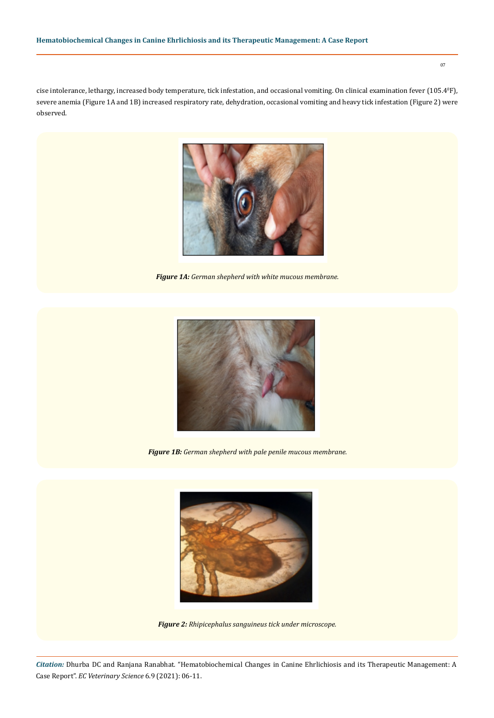07

cise intolerance, lethargy, increased body temperature, tick infestation, and occasional vomiting. On clinical examination fever (105.4ºF), severe anemia (Figure 1A and 1B) increased respiratory rate, dehydration, occasional vomiting and heavy tick infestation (Figure 2) were observed.



*Figure 1A: German shepherd with white mucous membrane.*



*Figure 1B: German shepherd with pale penile mucous membrane.*



*Figure 2: Rhipicephalus sanguineus tick under microscope.*

*Citation:* Dhurba DC and Ranjana Ranabhat*.* "Hematobiochemical Changes in Canine Ehrlichiosis and its Therapeutic Management: A Case Report". *EC Veterinary Science* 6.9 (2021): 06-11.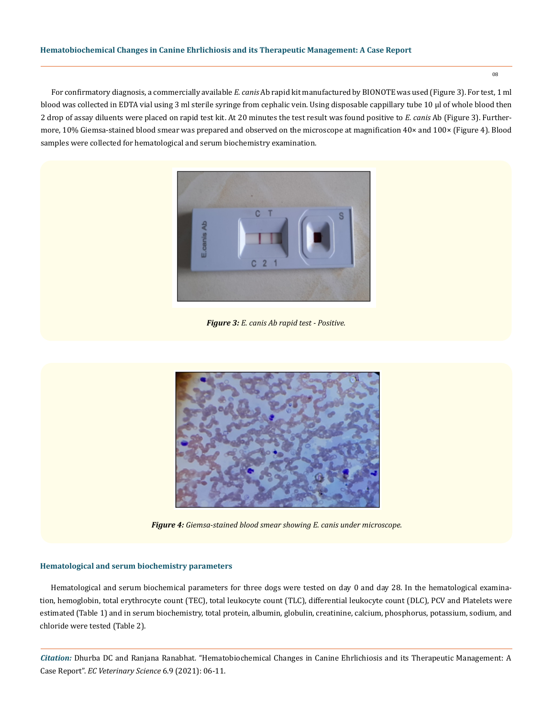### **Hematobiochemical Changes in Canine Ehrlichiosis and its Therapeutic Management: A Case Report**

For confirmatory diagnosis, a commercially available *E. canis* Ab rapid kit manufactured by BIONOTE was used (Figure 3). For test, 1 ml blood was collected in EDTA vial using 3 ml sterile syringe from cephalic vein. Using disposable cappillary tube 10 µl of whole blood then 2 drop of assay diluents were placed on rapid test kit. At 20 minutes the test result was found positive to *E. canis* Ab (Figure 3). Furthermore, 10% Giemsa-stained blood smear was prepared and observed on the microscope at magnification 40× and 100× (Figure 4). Blood samples were collected for hematological and serum biochemistry examination.



*Figure 3: E. canis Ab rapid test - Positive.*



*Figure 4: Giemsa-stained blood smear showing E. canis under microscope.*

#### **Hematological and serum biochemistry parameters**

Hematological and serum biochemical parameters for three dogs were tested on day 0 and day 28. In the hematological examination, hemoglobin, total erythrocyte count (TEC), total leukocyte count (TLC), differential leukocyte count (DLC), PCV and Platelets were estimated (Table 1) and in serum biochemistry, total protein, albumin, globulin, creatinine, calcium, phosphorus, potassium, sodium, and chloride were tested (Table 2).

*Citation:* Dhurba DC and Ranjana Ranabhat*.* "Hematobiochemical Changes in Canine Ehrlichiosis and its Therapeutic Management: A Case Report". *EC Veterinary Science* 6.9 (2021): 06-11.

08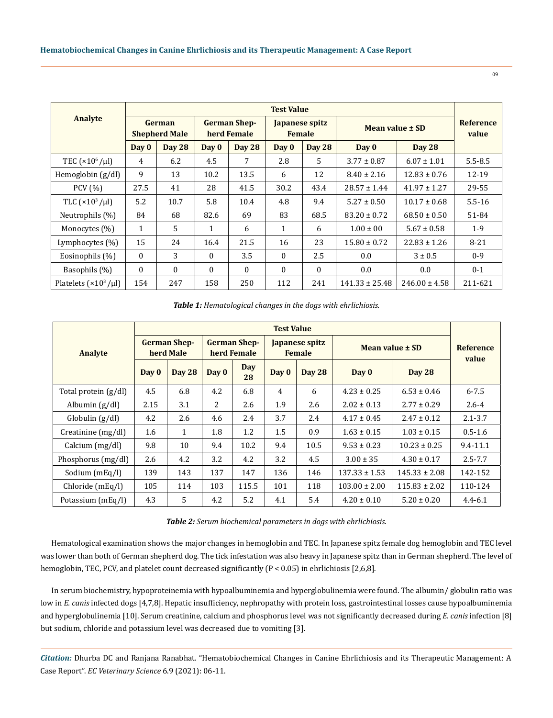|                                 | <b>Test Value</b>              |               |                                    |               |                                 |               |                    |                   |                    |
|---------------------------------|--------------------------------|---------------|------------------------------------|---------------|---------------------------------|---------------|--------------------|-------------------|--------------------|
| <b>Analyte</b>                  | German<br><b>Shepherd Male</b> |               | <b>German Shep-</b><br>herd Female |               | Japanese spitz<br><b>Female</b> |               | Mean value ± SD    |                   | Reference<br>value |
|                                 | Day 0                          | <b>Day 28</b> | Day 0                              | <b>Day 28</b> | Day 0                           | <b>Day 28</b> | Day 0              | <b>Day 28</b>     |                    |
| TEC ( $\times 10^6$ / $\mu$ l)  | 4                              | 6.2           | 4.5                                | 7             | 2.8                             | 5             | $3.77 \pm 0.87$    | $6.07 \pm 1.01$   | $5.5 - 8.5$        |
| Hemoglobin (g/dl)               | 9                              | 13            | 10.2                               | 13.5          | 6                               | 12            | $8.40 \pm 2.16$    | $12.83 \pm 0.76$  | 12-19              |
| PCV $(% )$                      | 27.5                           | 41            | 28                                 | 41.5          | 30.2                            | 43.4          | $28.57 \pm 1.44$   | $41.97 \pm 1.27$  | 29-55              |
| TLC $(x10^3/\mu l)$             | 5.2                            | 10.7          | 5.8                                | 10.4          | 4.8                             | 9.4           | $5.27 \pm 0.50$    | $10.17 \pm 0.68$  | $5.5 - 16$         |
| Neutrophils (%)                 | 84                             | 68            | 82.6                               | 69            | 83                              | 68.5          | $83.20 \pm 0.72$   | $68.50 \pm 0.50$  | 51-84              |
| Monocytes (%)                   | $\mathbf{1}$                   | $5^{\circ}$   | 1                                  | 6             | 1                               | 6             | $1.00 \pm 00$      | $5.67 \pm 0.58$   | $1-9$              |
| Lymphocytes $(\%)$              | 15                             | 24            | 16.4                               | 21.5          | 16                              | 23            | $15.80 \pm 0.72$   | $22.83 \pm 1.26$  | $8 - 21$           |
| Eosinophils (%)                 | $\Omega$                       | 3             | $\theta$                           | 3.5           | $\mathbf{0}$                    | 2.5           | 0.0                | $3 \pm 0.5$       | $0 - 9$            |
| Basophils (%)                   | $\mathbf{0}$                   | $\Omega$      | $\Omega$                           | $\Omega$      | $\Omega$                        | $\mathbf{0}$  | 0.0                | 0.0               | $0 - 1$            |
| Platelets $(\times 10^3/\mu l)$ | 154                            | 247           | 158                                | 250           | 112                             | 241           | $141.33 \pm 25.48$ | $246.00 \pm 4.58$ | 211-621            |

*Table 1: Hematological changes in the dogs with ehrlichiosis.*

|                        | <b>Test Value</b>                |               |                                    |           |                                 |        |                   |                   |                           |
|------------------------|----------------------------------|---------------|------------------------------------|-----------|---------------------------------|--------|-------------------|-------------------|---------------------------|
| <b>Analyte</b>         | <b>German Shep-</b><br>herd Male |               | <b>German Shep-</b><br>herd Female |           | Japanese spitz<br><b>Female</b> |        | Mean value ± SD   |                   | <b>Reference</b><br>value |
|                        | Day 0                            | <b>Day 28</b> | Day 0                              | Day<br>28 | Day 0                           | Day 28 | Day 0             | Day 28            |                           |
| Total protein $(g/dl)$ | 4.5                              | 6.8           | 4.2                                | 6.8       | 4                               | 6      | $4.23 \pm 0.25$   | $6.53 \pm 0.46$   | $6 - 7.5$                 |
| Albumin $(g/d)$        | 2.15                             | 3.1           | 2                                  | 2.6       | 1.9                             | 2.6    | $2.02 \pm 0.13$   | $2.77 \pm 0.29$   | $2.6 - 4$                 |
| Globalin (g/dl)        | 4.2                              | 2.6           | 4.6                                | 2.4       | 3.7                             | 2.4    | $4.17 \pm 0.45$   | $2.47 \pm 0.12$   | $2.1 - 3.7$               |
| Creatinine $(mg/dl)$   | 1.6                              | 1             | 1.8                                | 1.2       | 1.5                             | 0.9    | $1.63 \pm 0.15$   | $1.03 \pm 0.15$   | $0.5 - 1.6$               |
| Calcium $(mg/dl)$      | 9.8                              | 10            | 9.4                                | 10.2      | 9.4                             | 10.5   | $9.53 \pm 0.23$   | $10.23 \pm 0.25$  | $9.4 - 11.1$              |
| Phosphorus (mg/dl)     | 2.6                              | 4.2           | 3.2                                | 4.2       | 3.2                             | 4.5    | $3.00 \pm 35$     | $4.30 \pm 0.17$   | $2.5 - 7.7$               |
| Sodium (mEq/l)         | 139                              | 143           | 137                                | 147       | 136                             | 146    | $137.33 \pm 1.53$ | $145.33 \pm 2.08$ | 142-152                   |
| Chloride (mEq/l)       | 105                              | 114           | 103                                | 115.5     | 101                             | 118    | $103.00 \pm 2.00$ | $115.83 \pm 2.02$ | 110-124                   |
| Potassium (mEq/l)      | 4.3                              | 5.            | 4.2                                | 5.2       | 4.1                             | 5.4    | $4.20 \pm 0.10$   | $5.20 \pm 0.20$   | $4.4 - 6.1$               |

*Table 2: Serum biochemical parameters in dogs with ehrlichiosis.*

Hematological examination shows the major changes in hemoglobin and TEC. In Japanese spitz female dog hemoglobin and TEC level was lower than both of German shepherd dog. The tick infestation was also heavy in Japanese spitz than in German shepherd. The level of hemoglobin, TEC, PCV, and platelet count decreased significantly (P < 0.05) in ehrlichiosis [2,6,8].

In serum biochemistry, hypoproteinemia with hypoalbuminemia and hyperglobulinemia were found. The albumin/ globulin ratio was low in *E. canis* infected dogs [4,7,8]. Hepatic insufficiency, nephropathy with protein loss, gastrointestinal losses cause hypoalbuminemia and hyperglobulinemia [10]. Serum creatinine, calcium and phosphorus level was not significantly decreased during *E. canis* infection [8] but sodium, chloride and potassium level was decreased due to vomiting [3].

*Citation:* Dhurba DC and Ranjana Ranabhat*.* "Hematobiochemical Changes in Canine Ehrlichiosis and its Therapeutic Management: A Case Report". *EC Veterinary Science* 6.9 (2021): 06-11.

09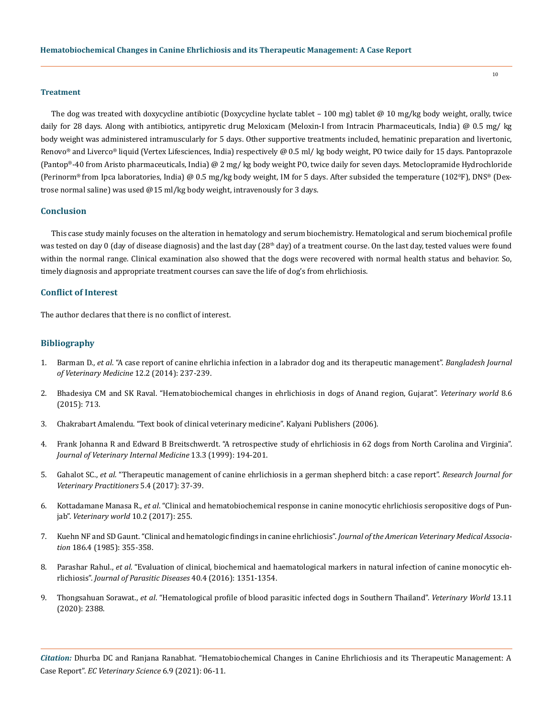#### **Treatment**

The dog was treated with doxycycline antibiotic (Doxycycline hyclate tablet – 100 mg) tablet @ 10 mg/kg body weight, orally, twice daily for 28 days. Along with antibiotics, antipyretic drug Meloxicam (Meloxin-I from Intracin Pharmaceuticals, India) @ 0.5 mg/ kg body weight was administered intramuscularly for 5 days. Other supportive treatments included, hematinic preparation and livertonic, Renovo® and Liverco® liquid (Vertex Lifesciences, India) respectively @ 0.5 ml/ kg body weight, PO twice daily for 15 days. Pantoprazole (Pantop®-40 from Aristo pharmaceuticals, India) @ 2 mg/ kg body weight PO, twice daily for seven days. Metoclopramide Hydrochloride (Perinorm® from Ipca laboratories, India) @ 0.5 mg/kg body weight, IM for 5 days. After subsided the temperature (1020 F), DNS® (Dextrose normal saline) was used @15 ml/kg body weight, intravenously for 3 days.

## **Conclusion**

This case study mainly focuses on the alteration in hematology and serum biochemistry. Hematological and serum biochemical profile was tested on day 0 (day of disease diagnosis) and the last day ( $28<sup>th</sup>$  day) of a treatment course. On the last day, tested values were found within the normal range. Clinical examination also showed that the dogs were recovered with normal health status and behavior. So, timely diagnosis and appropriate treatment courses can save the life of dog's from ehrlichiosis.

## **Conflict of Interest**

The author declares that there is no conflict of interest.

## **Bibliography**

- 1. Barman D., *et al*[. "A case report of canine ehrlichia infection in a labrador dog and its therapeutic management".](https://www.banglajol.info/index.php/BJVM/article/view/21298) *Bangladesh Journal [of Veterinary Medicine](https://www.banglajol.info/index.php/BJVM/article/view/21298)* 12.2 (2014): 237-239.
- 2. [Bhadesiya CM and SK Raval. "Hematobiochemical changes in ehrlichiosis in dogs of Anand region, Gujarat".](https://www.ncbi.nlm.nih.gov/pmc/articles/PMC4825270/) *Veterinary world* 8.6 [\(2015\): 713.](https://www.ncbi.nlm.nih.gov/pmc/articles/PMC4825270/)
- 3. Chakrabart Amalendu. "Text book of clinical veterinary medicine". Kalyani Publishers (2006).
- 4. [Frank Johanna R and Edward B Breitschwerdt. "A retrospective study of ehrlichiosis in 62 dogs from North Carolina and Virginia".](https://onlinelibrary.wiley.com/doi/pdf/10.1111/j.1939-1676.1999.tb02178.x)  *[Journal of Veterinary Internal Medicine](https://onlinelibrary.wiley.com/doi/pdf/10.1111/j.1939-1676.1999.tb02178.x)* 13.3 (1999): 194-201.
- 5. Gahalot SC., *et al*[. "Therapeutic management of canine ehrlichiosis in a german shepherd bitch: a case report".](https://www.researchgate.net/publication/323807810_Therapeutic_Management_of_Canine_Ehrlichiosis_in_a_German_Shepherd_Bitch_A_Case_Report) *Research Journal for [Veterinary Practitioners](https://www.researchgate.net/publication/323807810_Therapeutic_Management_of_Canine_Ehrlichiosis_in_a_German_Shepherd_Bitch_A_Case_Report)* 5.4 (2017): 37-39.
- 6. Kottadamane Manasa R., *et al*[. "Clinical and hematobiochemical response in canine monocytic ehrlichiosis seropositive dogs of Pun](https://www.ncbi.nlm.nih.gov/pmc/articles/PMC5352854/)jab". *[Veterinary world](https://www.ncbi.nlm.nih.gov/pmc/articles/PMC5352854/)* 10.2 (2017): 255.
- 7. [Kuehn NF and SD Gaunt. "Clinical and hematologic findings in canine ehrlichiosis".](https://pubmed.ncbi.nlm.nih.gov/3972694/) *Journal of the American Veterinary Medical Association* [186.4 \(1985\): 355-358.](https://pubmed.ncbi.nlm.nih.gov/3972694/)
- 8. Parashar Rahul., *et al*[. "Evaluation of clinical, biochemical and haematological markers in natural infection of canine monocytic eh](https://www.ncbi.nlm.nih.gov/pmc/articles/PMC5118314/)rlichiosis". *[Journal of Parasitic Diseases](https://www.ncbi.nlm.nih.gov/pmc/articles/PMC5118314/)* 40.4 (2016): 1351-1354.
- 9. Thongsahuan Sorawat., *et al*[. "Hematological profile of blood parasitic infected dogs in Southern Thailand".](https://pubmed.ncbi.nlm.nih.gov/33363331/) *Veterinary World* 13.11 [\(2020\): 2388.](https://pubmed.ncbi.nlm.nih.gov/33363331/)

*Citation:* Dhurba DC and Ranjana Ranabhat*.* "Hematobiochemical Changes in Canine Ehrlichiosis and its Therapeutic Management: A Case Report". *EC Veterinary Science* 6.9 (2021): 06-11.